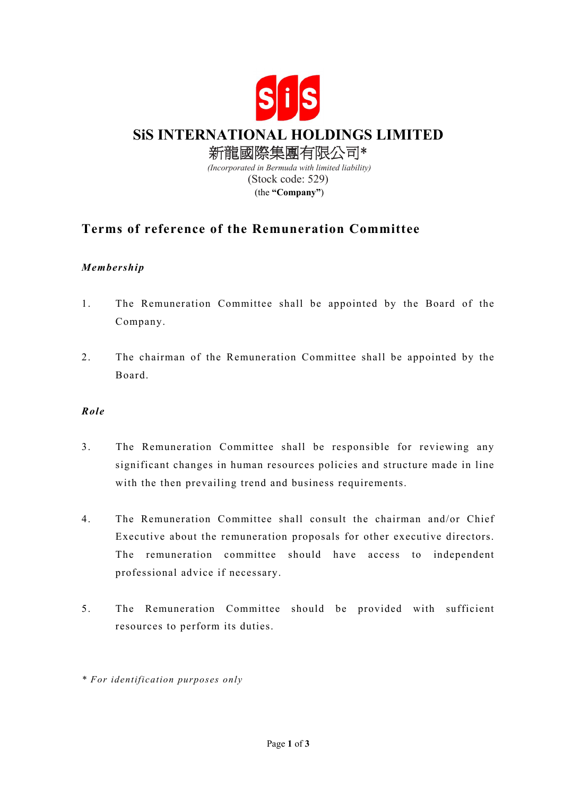

## **Terms of reference of the Remuneration Committee**

## *Membership*

- 1. The Remuneration Committee shall be appointed by the Board of the Company.
- 2. The chairman of the Remuneration Committee shall be appointed by the Board.

## *Role*

- 3. The Remuneration Committee shall be responsible for reviewing any significant changes in human resources policies and structure made in line with the then prevailing trend and business requirements.
- 4. The Remuneration Committee shall consult the chairman and/or Chief Executive about the remuneration proposals for other executive directors. The remuneration committee should have access to independent professional advice if necessary.
- 5. The Remuneration Committee should be provided with sufficient resources to perform its duties.
- *\* For identification purposes only*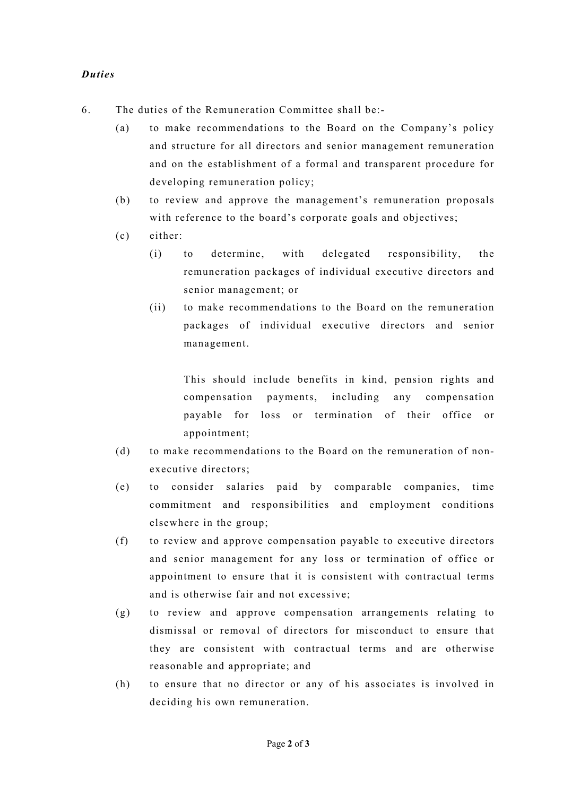## *Duties*

- 6. The duties of the Remuneration Committee shall be:-
	- (a) to make recommendations to the Board on the Company's policy and structure for all directors and senior management remuneration and on the establishment of a formal and transparent procedure for developing remuneration policy;
	- (b) to review and approve the management's remuneration proposals with reference to the board's corporate goals and objectives;
	- (c) either:
		- (i) to determine, with delegated responsibility, the remuneration packages of individual executive directors and senior management; or
		- (ii) to make recommendations to the Board on the remuneration packages of individual executive directors and senior management.

This should include benefits in kind, pension rights and compensation payments, including any compensation payable for loss or termination of their office or appointment;

- (d) to make recommendations to the Board on the remuneration of nonexecutive directors;
- (e) to consider salaries paid by comparable companies, time commitment and responsibilities and employment conditions elsewhere in the group;
- (f) to review and approve compensation payable to executive directors and senior management for any loss or termination of office or appointment to ensure that it is consistent with contractual terms and is otherwise fair and not excessive;
- (g) to review and approve compensation arrangements relating to dismissal or removal of directors for misconduct to ensure that they are consistent with contractual terms and are otherwise reasonable and appropriate; and
- (h) to ensure that no director or any of his associates is involved in deciding his own remuneration.